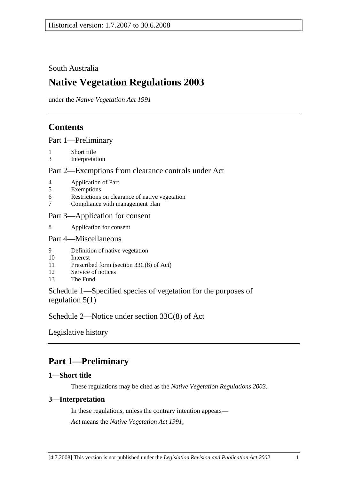## South Australia

# **Native Vegetation Regulations 2003**

under the *Native Vegetation Act 1991*

# **Contents**

Part 1—Preliminary

- 1 Short title
- 3 Interpretation

### Part 2—Exemptions from clearance controls under Act

- 4 Application of Part
- 5 Exemptions
- 6 Restrictions on clearance of native vegetation
- 7 Compliance with management plan

### Part 3—Application for consent

8 Application for consent

### Part 4—Miscellaneous

- 9 Definition of native vegetation
- 10 Interest
- 11 Prescribed form (section 33C(8) of Act)
- 12 Service of notices
- 13 The Fund

Schedule 1—Specified species of vegetation for the purposes of regulation 5(1)

Schedule 2—Notice under section 33C(8) of Act

Legislative history

# **Part 1—Preliminary**

### **1—Short title**

These regulations may be cited as the *Native Vegetation Regulations 2003*.

### **3—Interpretation**

In these regulations, unless the contrary intention appears— *Act* means the *Native Vegetation Act 1991*;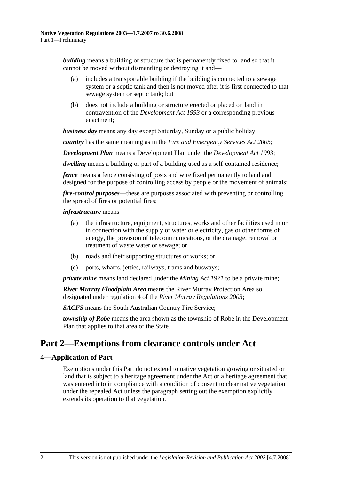*building* means a building or structure that is permanently fixed to land so that it cannot be moved without dismantling or destroying it and—

- (a) includes a transportable building if the building is connected to a sewage system or a septic tank and then is not moved after it is first connected to that sewage system or septic tank; but
- (b) does not include a building or structure erected or placed on land in contravention of the *Development Act 1993* or a corresponding previous enactment;

*business day* means any day except Saturday, Sunday or a public holiday;

*country* has the same meaning as in the *Fire and Emergency Services Act 2005*;

*Development Plan* means a Development Plan under the *Development Act 1993*;

*dwelling* means a building or part of a building used as a self-contained residence;

*fence* means a fence consisting of posts and wire fixed permanently to land and designed for the purpose of controlling access by people or the movement of animals;

*fire-control purposes*—these are purposes associated with preventing or controlling the spread of fires or potential fires;

#### *infrastructure* means—

- (a) the infrastructure, equipment, structures, works and other facilities used in or in connection with the supply of water or electricity, gas or other forms of energy, the provision of telecommunications, or the drainage, removal or treatment of waste water or sewage; or
- (b) roads and their supporting structures or works; or
- (c) ports, wharfs, jetties, railways, trams and busways;

*private mine* means land declared under the *Mining Act 1971* to be a private mine;

*River Murray Floodplain Area* means the River Murray Protection Area so designated under regulation 4 of the *River Murray Regulations 2003*;

*SACFS* means the South Australian Country Fire Service;

*township of Robe* means the area shown as the township of Robe in the Development Plan that applies to that area of the State.

## **Part 2—Exemptions from clearance controls under Act**

### **4—Application of Part**

Exemptions under this Part do not extend to native vegetation growing or situated on land that is subject to a heritage agreement under the Act or a heritage agreement that was entered into in compliance with a condition of consent to clear native vegetation under the repealed Act unless the paragraph setting out the exemption explicitly extends its operation to that vegetation.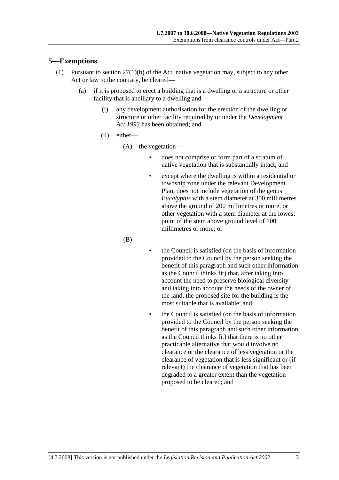### **5—Exemptions**

- (1) Pursuant to section 27(1)(b) of the Act, native vegetation may, subject to any other Act or law to the contrary, be cleared—
	- (a) if it is proposed to erect a building that is a dwelling or a structure or other facility that is ancillary to a dwelling and—
		- (i) any development authorisation for the erection of the dwelling or structure or other facility required by or under the *Development Act 1993* has been obtained; and
		- (ii) either—
			- (A) the vegetation—
				- does not comprise or form part of a stratum of native vegetation that is substantially intact; and
				- except where the dwelling is within a residential or township zone under the relevant Development Plan, does not include vegetation of the genus *Eucalyptus* with a stem diameter at 300 millimetres above the ground of 200 millimetres or more, or other vegetation with a stem diameter at the lowest point of the stem above ground level of 100 millimetres or more; or

 $(B)$ 

- the Council is satisfied (on the basis of information provided to the Council by the person seeking the benefit of this paragraph and such other information as the Council thinks fit) that, after taking into account the need to preserve biological diversity and taking into account the needs of the owner of the land, the proposed site for the building is the most suitable that is available; and
- the Council is satisfied (on the basis of information provided to the Council by the person seeking the benefit of this paragraph and such other information as the Council thinks fit) that there is no other practicable alternative that would involve no clearance or the clearance of less vegetation or the clearance of vegetation that is less significant or (if relevant) the clearance of vegetation that has been degraded to a greater extent than the vegetation proposed to be cleared; and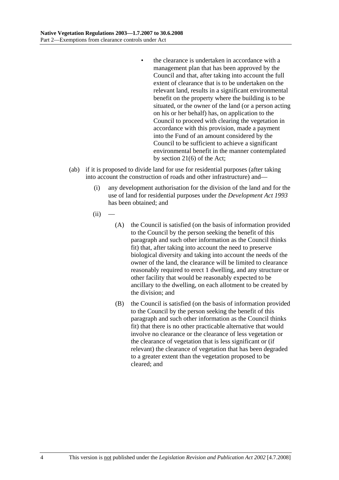- the clearance is undertaken in accordance with a management plan that has been approved by the Council and that, after taking into account the full extent of clearance that is to be undertaken on the relevant land, results in a significant environmental benefit on the property where the building is to be situated, or the owner of the land (or a person acting on his or her behalf) has, on application to the Council to proceed with clearing the vegetation in accordance with this provision, made a payment into the Fund of an amount considered by the Council to be sufficient to achieve a significant environmental benefit in the manner contemplated by section 21(6) of the Act;
- (ab) if it is proposed to divide land for use for residential purposes (after taking into account the construction of roads and other infrastructure) and—
	- (i) any development authorisation for the division of the land and for the use of land for residential purposes under the *Development Act 1993* has been obtained; and
	- $(ii)$ 
		- (A) the Council is satisfied (on the basis of information provided to the Council by the person seeking the benefit of this paragraph and such other information as the Council thinks fit) that, after taking into account the need to preserve biological diversity and taking into account the needs of the owner of the land, the clearance will be limited to clearance reasonably required to erect 1 dwelling, and any structure or other facility that would be reasonably expected to be ancillary to the dwelling, on each allotment to be created by the division; and
		- (B) the Council is satisfied (on the basis of information provided to the Council by the person seeking the benefit of this paragraph and such other information as the Council thinks fit) that there is no other practicable alternative that would involve no clearance or the clearance of less vegetation or the clearance of vegetation that is less significant or (if relevant) the clearance of vegetation that has been degraded to a greater extent than the vegetation proposed to be cleared; and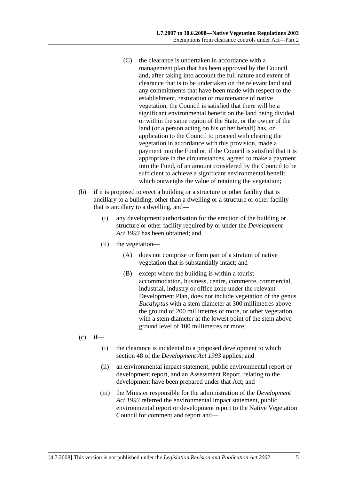- (C) the clearance is undertaken in accordance with a management plan that has been approved by the Council and, after taking into account the full nature and extent of clearance that is to be undertaken on the relevant land and any commitments that have been made with respect to the establishment, restoration or maintenance of native vegetation, the Council is satisfied that there will be a significant environmental benefit on the land being divided or within the same region of the State, or the owner of the land (or a person acting on his or her behalf) has, on application to the Council to proceed with clearing the vegetation in accordance with this provision, made a payment into the Fund or, if the Council is satisfied that it is appropriate in the circumstances, agreed to make a payment into the Fund, of an amount considered by the Council to be sufficient to achieve a significant environmental benefit which outweighs the value of retaining the vegetation;
- (b) if it is proposed to erect a building or a structure or other facility that is ancillary to a building, other than a dwelling or a structure or other facility that is ancillary to a dwelling, and—
	- (i) any development authorisation for the erection of the building or structure or other facility required by or under the *Development Act 1993* has been obtained; and
	- (ii) the vegetation—
		- (A) does not comprise or form part of a stratum of native vegetation that is substantially intact; and
		- (B) except where the building is within a tourist accommodation, business, centre, commerce, commercial, industrial, industry or office zone under the relevant Development Plan, does not include vegetation of the genus *Eucalyptus* with a stem diameter at 300 millimetres above the ground of 200 millimetres or more, or other vegetation with a stem diameter at the lowest point of the stem above ground level of 100 millimetres or more;
- $(c)$  if—
	- (i) the clearance is incidental to a proposed development to which section 48 of the *Development Act 1993* applies; and
	- (ii) an environmental impact statement, public environmental report or development report, and an Assessment Report, relating to the development have been prepared under that Act; and
	- (iii) the Minister responsible for the administration of the *Development Act 1993* referred the environmental impact statement, public environmental report or development report to the Native Vegetation Council for comment and report and—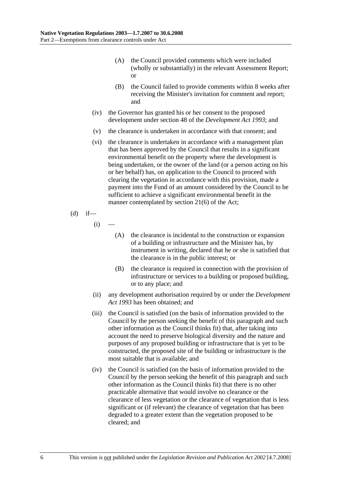- (A) the Council provided comments which were included (wholly or substantially) in the relevant Assessment Report; or
- (B) the Council failed to provide comments within 8 weeks after receiving the Minister's invitation for comment and report; and
- (iv) the Governor has granted his or her consent to the proposed development under section 48 of the *Development Act 1993*; and
- (v) the clearance is undertaken in accordance with that consent; and
- (vi) the clearance is undertaken in accordance with a management plan that has been approved by the Council that results in a significant environmental benefit on the property where the development is being undertaken, or the owner of the land (or a person acting on his or her behalf) has, on application to the Council to proceed with clearing the vegetation in accordance with this provision, made a payment into the Fund of an amount considered by the Council to be sufficient to achieve a significant environmental benefit in the manner contemplated by section 21(6) of the Act;

(d) if—

 $(i)$ 

- (A) the clearance is incidental to the construction or expansion of a building or infrastructure and the Minister has, by instrument in writing, declared that he or she is satisfied that the clearance is in the public interest; or
- (B) the clearance is required in connection with the provision of infrastructure or services to a building or proposed building, or to any place; and
- (ii) any development authorisation required by or under the *Development Act 1993* has been obtained; and
- (iii) the Council is satisfied (on the basis of information provided to the Council by the person seeking the benefit of this paragraph and such other information as the Council thinks fit) that, after taking into account the need to preserve biological diversity and the nature and purposes of any proposed building or infrastructure that is yet to be constructed, the proposed site of the building or infrastructure is the most suitable that is available; and
- (iv) the Council is satisfied (on the basis of information provided to the Council by the person seeking the benefit of this paragraph and such other information as the Council thinks fit) that there is no other practicable alternative that would involve no clearance or the clearance of less vegetation or the clearance of vegetation that is less significant or (if relevant) the clearance of vegetation that has been degraded to a greater extent than the vegetation proposed to be cleared; and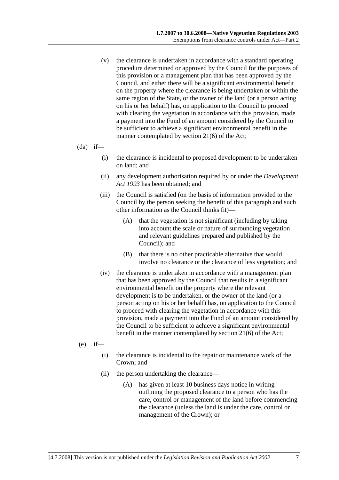- (v) the clearance is undertaken in accordance with a standard operating procedure determined or approved by the Council for the purposes of this provision or a management plan that has been approved by the Council, and either there will be a significant environmental benefit on the property where the clearance is being undertaken or within the same region of the State, or the owner of the land (or a person acting on his or her behalf) has, on application to the Council to proceed with clearing the vegetation in accordance with this provision, made a payment into the Fund of an amount considered by the Council to be sufficient to achieve a significant environmental benefit in the manner contemplated by section 21(6) of the Act;
- $(da)$  if—
	- (i) the clearance is incidental to proposed development to be undertaken on land; and
	- (ii) any development authorisation required by or under the *Development Act 1993* has been obtained; and
	- (iii) the Council is satisfied (on the basis of information provided to the Council by the person seeking the benefit of this paragraph and such other information as the Council thinks fit)—
		- (A) that the vegetation is not significant (including by taking into account the scale or nature of surrounding vegetation and relevant guidelines prepared and published by the Council); and
		- (B) that there is no other practicable alternative that would involve no clearance or the clearance of less vegetation; and
	- (iv) the clearance is undertaken in accordance with a management plan that has been approved by the Council that results in a significant environmental benefit on the property where the relevant development is to be undertaken, or the owner of the land (or a person acting on his or her behalf) has, on application to the Council to proceed with clearing the vegetation in accordance with this provision, made a payment into the Fund of an amount considered by the Council to be sufficient to achieve a significant environmental benefit in the manner contemplated by section 21(6) of the Act;
- $(e)$  if—
	- (i) the clearance is incidental to the repair or maintenance work of the Crown; and
	- (ii) the person undertaking the clearance—
		- (A) has given at least 10 business days notice in writing outlining the proposed clearance to a person who has the care, control or management of the land before commencing the clearance (unless the land is under the care, control or management of the Crown); or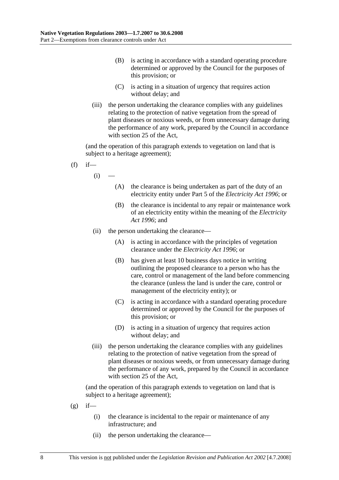- (B) is acting in accordance with a standard operating procedure determined or approved by the Council for the purposes of this provision; or
- (C) is acting in a situation of urgency that requires action without delay; and
- (iii) the person undertaking the clearance complies with any guidelines relating to the protection of native vegetation from the spread of plant diseases or noxious weeds, or from unnecessary damage during the performance of any work, prepared by the Council in accordance with section 25 of the Act,

(and the operation of this paragraph extends to vegetation on land that is subject to a heritage agreement);

- $(f)$  if—
	- $(i)$
- (A) the clearance is being undertaken as part of the duty of an electricity entity under Part 5 of the *Electricity Act 1996*; or
- (B) the clearance is incidental to any repair or maintenance work of an electricity entity within the meaning of the *Electricity Act 1996*; and
- (ii) the person undertaking the clearance—
	- (A) is acting in accordance with the principles of vegetation clearance under the *Electricity Act 1996*; or
	- (B) has given at least 10 business days notice in writing outlining the proposed clearance to a person who has the care, control or management of the land before commencing the clearance (unless the land is under the care, control or management of the electricity entity); or
	- (C) is acting in accordance with a standard operating procedure determined or approved by the Council for the purposes of this provision; or
	- (D) is acting in a situation of urgency that requires action without delay; and
- (iii) the person undertaking the clearance complies with any guidelines relating to the protection of native vegetation from the spread of plant diseases or noxious weeds, or from unnecessary damage during the performance of any work, prepared by the Council in accordance with section 25 of the Act,

- $(g)$  if—
	- (i) the clearance is incidental to the repair or maintenance of any infrastructure; and
	- (ii) the person undertaking the clearance—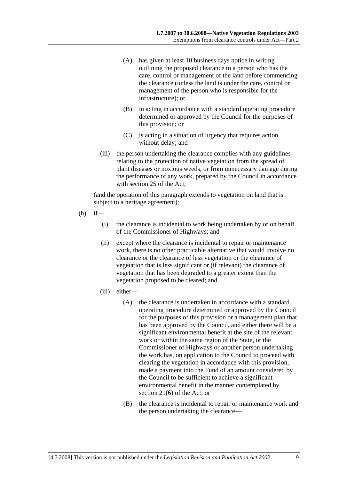- (A) has given at least 10 business days notice in writing outlining the proposed clearance to a person who has the care, control or management of the land before commencing the clearance (unless the land is under the care, control or management of the person who is responsible for the infrastructure); or
- (B) in acting in accordance with a standard operating procedure determined or approved by the Council for the purposes of this provision; or
- (C) is acting in a situation of urgency that requires action without delay; and
- (iii) the person undertaking the clearance complies with any guidelines relating to the protection of native vegetation from the spread of plant diseases or noxious weeds, or from unnecessary damage during the performance of any work, prepared by the Council in accordance with section 25 of the Act,

- $(h)$  if—
	- (i) the clearance is incidental to work being undertaken by or on behalf of the Commissioner of Highways; and
	- (ii) except where the clearance is incidental to repair or maintenance work, there is no other practicable alternative that would involve no clearance or the clearance of less vegetation or the clearance of vegetation that is less significant or (if relevant) the clearance of vegetation that has been degraded to a greater extent than the vegetation proposed to be cleared; and
	- (iii) either—
		- (A) the clearance is undertaken in accordance with a standard operating procedure determined or approved by the Council for the purposes of this provision or a management plan that has been approved by the Council, and either there will be a significant environmental benefit at the site of the relevant work or within the same region of the State, or the Commissioner of Highways or another person undertaking the work has, on application to the Council to proceed with clearing the vegetation in accordance with this provision, made a payment into the Fund of an amount considered by the Council to be sufficient to achieve a significant environmental benefit in the manner contemplated by section 21(6) of the Act; or
		- (B) the clearance is incidental to repair or maintenance work and the person undertaking the clearance—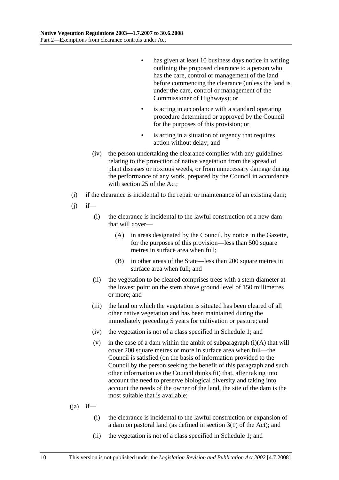- has given at least 10 business days notice in writing outlining the proposed clearance to a person who has the care, control or management of the land before commencing the clearance (unless the land is under the care, control or management of the Commissioner of Highways); or
- is acting in accordance with a standard operating procedure determined or approved by the Council for the purposes of this provision; or
- is acting in a situation of urgency that requires action without delay; and
- (iv) the person undertaking the clearance complies with any guidelines relating to the protection of native vegetation from the spread of plant diseases or noxious weeds, or from unnecessary damage during the performance of any work, prepared by the Council in accordance with section 25 of the Act;
- (i) if the clearance is incidental to the repair or maintenance of an existing dam;
- $(i)$  if—
	- (i) the clearance is incidental to the lawful construction of a new dam that will cover—
		- (A) in areas designated by the Council, by notice in the Gazette, for the purposes of this provision—less than 500 square metres in surface area when full;
		- (B) in other areas of the State—less than 200 square metres in surface area when full; and
	- (ii) the vegetation to be cleared comprises trees with a stem diameter at the lowest point on the stem above ground level of 150 millimetres or more; and
	- (iii) the land on which the vegetation is situated has been cleared of all other native vegetation and has been maintained during the immediately preceding 5 years for cultivation or pasture; and
	- (iv) the vegetation is not of a class specified in Schedule 1; and
	- (v) in the case of a dam within the ambit of subparagraph  $(i)(A)$  that will cover 200 square metres or more in surface area when full—the Council is satisfied (on the basis of information provided to the Council by the person seeking the benefit of this paragraph and such other information as the Council thinks fit) that, after taking into account the need to preserve biological diversity and taking into account the needs of the owner of the land, the site of the dam is the most suitable that is available;

### $(i)$  if—

- (i) the clearance is incidental to the lawful construction or expansion of a dam on pastoral land (as defined in section 3(1) of the Act); and
- (ii) the vegetation is not of a class specified in Schedule 1; and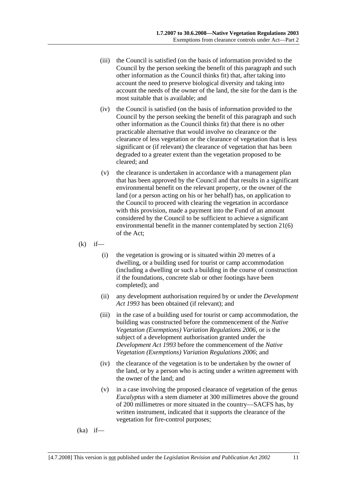- (iii) the Council is satisfied (on the basis of information provided to the Council by the person seeking the benefit of this paragraph and such other information as the Council thinks fit) that, after taking into account the need to preserve biological diversity and taking into account the needs of the owner of the land, the site for the dam is the most suitable that is available; and
- (iv) the Council is satisfied (on the basis of information provided to the Council by the person seeking the benefit of this paragraph and such other information as the Council thinks fit) that there is no other practicable alternative that would involve no clearance or the clearance of less vegetation or the clearance of vegetation that is less significant or (if relevant) the clearance of vegetation that has been degraded to a greater extent than the vegetation proposed to be cleared; and
- (v) the clearance is undertaken in accordance with a management plan that has been approved by the Council and that results in a significant environmental benefit on the relevant property, or the owner of the land (or a person acting on his or her behalf) has, on application to the Council to proceed with clearing the vegetation in accordance with this provision, made a payment into the Fund of an amount considered by the Council to be sufficient to achieve a significant environmental benefit in the manner contemplated by section 21(6) of the Act;
- $(k)$  if—
	- (i) the vegetation is growing or is situated within 20 metres of a dwelling, or a building used for tourist or camp accommodation (including a dwelling or such a building in the course of construction if the foundations, concrete slab or other footings have been completed); and
	- (ii) any development authorisation required by or under the *Development Act 1993* has been obtained (if relevant); and
	- (iii) in the case of a building used for tourist or camp accommodation, the building was constructed before the commencement of the *Native Vegetation (Exemptions) Variation Regulations 2006*, or is the subject of a development authorisation granted under the *Development Act 1993* before the commencement of the *Native Vegetation (Exemptions) Variation Regulations 2006*; and
	- (iv) the clearance of the vegetation is to be undertaken by the owner of the land, or by a person who is acting under a written agreement with the owner of the land; and
	- (v) in a case involving the proposed clearance of vegetation of the genus *Eucalyptus* with a stem diameter at 300 millimetres above the ground of 200 millimetres or more situated in the country—SACFS has, by written instrument, indicated that it supports the clearance of the vegetation for fire-control purposes;
- (ka) if—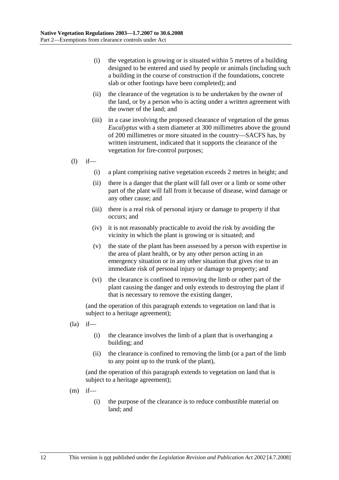- (i) the vegetation is growing or is situated within 5 metres of a building designed to be entered and used by people or animals (including such a building in the course of construction if the foundations, concrete slab or other footings have been completed); and
- (ii) the clearance of the vegetation is to be undertaken by the owner of the land, or by a person who is acting under a written agreement with the owner of the land; and
- (iii) in a case involving the proposed clearance of vegetation of the genus *Eucalyptus* with a stem diameter at 300 millimetres above the ground of 200 millimetres or more situated in the country—SACFS has, by written instrument, indicated that it supports the clearance of the vegetation for fire-control purposes;
- $(l)$  if—
	- (i) a plant comprising native vegetation exceeds 2 metres in height; and
	- (ii) there is a danger that the plant will fall over or a limb or some other part of the plant will fall from it because of disease, wind damage or any other cause; and
	- (iii) there is a real risk of personal injury or damage to property if that occurs; and
	- (iv) it is not reasonably practicable to avoid the risk by avoiding the vicinity in which the plant is growing or is situated; and
	- (v) the state of the plant has been assessed by a person with expertise in the area of plant health, or by any other person acting in an emergency situation or in any other situation that gives rise to an immediate risk of personal injury or damage to property; and
	- (vi) the clearance is confined to removing the limb or other part of the plant causing the danger and only extends to destroying the plant if that is necessary to remove the existing danger,

(and the operation of this paragraph extends to vegetation on land that is subject to a heritage agreement);

- $(la)$  if—
	- (i) the clearance involves the limb of a plant that is overhanging a building; and
	- (ii) the clearance is confined to removing the limb (or a part of the limb to any point up to the trunk of the plant),

- $(m)$  if—
	- (i) the purpose of the clearance is to reduce combustible material on land; and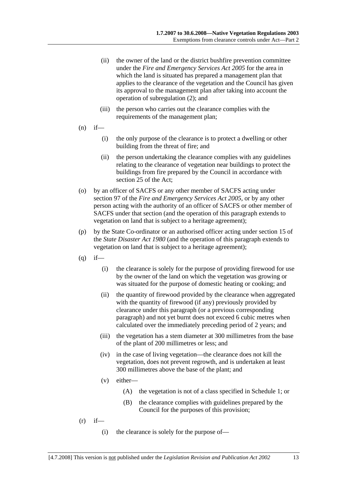- (ii) the owner of the land or the district bushfire prevention committee under the *Fire and Emergency Services Act 2005* for the area in which the land is situated has prepared a management plan that applies to the clearance of the vegetation and the Council has given its approval to the management plan after taking into account the operation of subregulation (2); and
- (iii) the person who carries out the clearance complies with the requirements of the management plan;
- $(n)$  if—
	- (i) the only purpose of the clearance is to protect a dwelling or other building from the threat of fire; and
	- (ii) the person undertaking the clearance complies with any guidelines relating to the clearance of vegetation near buildings to protect the buildings from fire prepared by the Council in accordance with section 25 of the Act;
- (o) by an officer of SACFS or any other member of SACFS acting under section 97 of the *Fire and Emergency Services Act 2005*, or by any other person acting with the authority of an officer of SACFS or other member of SACFS under that section (and the operation of this paragraph extends to vegetation on land that is subject to a heritage agreement);
- (p) by the State Co-ordinator or an authorised officer acting under section 15 of the *State Disaster Act 1980* (and the operation of this paragraph extends to vegetation on land that is subject to a heritage agreement);
- $(q)$  if—
	- (i) the clearance is solely for the purpose of providing firewood for use by the owner of the land on which the vegetation was growing or was situated for the purpose of domestic heating or cooking; and
	- (ii) the quantity of firewood provided by the clearance when aggregated with the quantity of firewood (if any) previously provided by clearance under this paragraph (or a previous corresponding paragraph) and not yet burnt does not exceed 6 cubic metres when calculated over the immediately preceding period of 2 years; and
	- (iii) the vegetation has a stem diameter at 300 millimetres from the base of the plant of 200 millimetres or less; and
	- (iv) in the case of living vegetation—the clearance does not kill the vegetation, does not prevent regrowth, and is undertaken at least 300 millimetres above the base of the plant; and
	- (v) either—
		- (A) the vegetation is not of a class specified in Schedule 1; or
		- (B) the clearance complies with guidelines prepared by the Council for the purposes of this provision;
- $(r)$  if—
	- (i) the clearance is solely for the purpose of—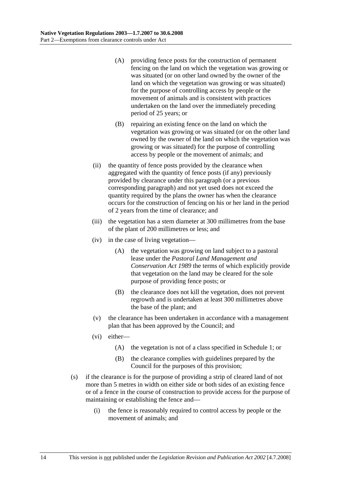- (A) providing fence posts for the construction of permanent fencing on the land on which the vegetation was growing or was situated (or on other land owned by the owner of the land on which the vegetation was growing or was situated) for the purpose of controlling access by people or the movement of animals and is consistent with practices undertaken on the land over the immediately preceding period of 25 years; or
- (B) repairing an existing fence on the land on which the vegetation was growing or was situated (or on the other land owned by the owner of the land on which the vegetation was growing or was situated) for the purpose of controlling access by people or the movement of animals; and
- (ii) the quantity of fence posts provided by the clearance when aggregated with the quantity of fence posts (if any) previously provided by clearance under this paragraph (or a previous corresponding paragraph) and not yet used does not exceed the quantity required by the plans the owner has when the clearance occurs for the construction of fencing on his or her land in the period of 2 years from the time of clearance; and
- (iii) the vegetation has a stem diameter at 300 millimetres from the base of the plant of 200 millimetres or less; and
- (iv) in the case of living vegetation—
	- (A) the vegetation was growing on land subject to a pastoral lease under the *Pastoral Land Management and Conservation Act 1989* the terms of which explicitly provide that vegetation on the land may be cleared for the sole purpose of providing fence posts; or
	- (B) the clearance does not kill the vegetation, does not prevent regrowth and is undertaken at least 300 millimetres above the base of the plant; and
- (v) the clearance has been undertaken in accordance with a management plan that has been approved by the Council; and
- (vi) either—
	- (A) the vegetation is not of a class specified in Schedule 1; or
	- (B) the clearance complies with guidelines prepared by the Council for the purposes of this provision;
- (s) if the clearance is for the purpose of providing a strip of cleared land of not more than 5 metres in width on either side or both sides of an existing fence or of a fence in the course of construction to provide access for the purpose of maintaining or establishing the fence and—
	- (i) the fence is reasonably required to control access by people or the movement of animals; and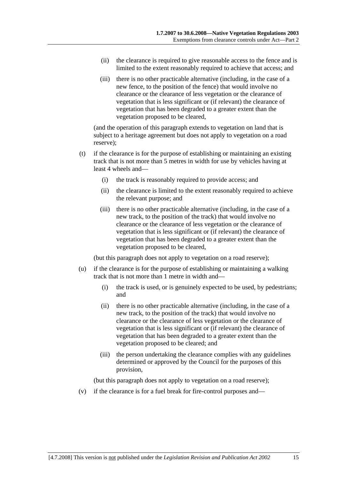- (ii) the clearance is required to give reasonable access to the fence and is limited to the extent reasonably required to achieve that access; and
- (iii) there is no other practicable alternative (including, in the case of a new fence, to the position of the fence) that would involve no clearance or the clearance of less vegetation or the clearance of vegetation that is less significant or (if relevant) the clearance of vegetation that has been degraded to a greater extent than the vegetation proposed to be cleared,

(and the operation of this paragraph extends to vegetation on land that is subject to a heritage agreement but does not apply to vegetation on a road reserve);

- (t) if the clearance is for the purpose of establishing or maintaining an existing track that is not more than 5 metres in width for use by vehicles having at least 4 wheels and—
	- (i) the track is reasonably required to provide access; and
	- (ii) the clearance is limited to the extent reasonably required to achieve the relevant purpose; and
	- (iii) there is no other practicable alternative (including, in the case of a new track, to the position of the track) that would involve no clearance or the clearance of less vegetation or the clearance of vegetation that is less significant or (if relevant) the clearance of vegetation that has been degraded to a greater extent than the vegetation proposed to be cleared,

(but this paragraph does not apply to vegetation on a road reserve);

- (u) if the clearance is for the purpose of establishing or maintaining a walking track that is not more than 1 metre in width and—
	- (i) the track is used, or is genuinely expected to be used, by pedestrians; and
	- (ii) there is no other practicable alternative (including, in the case of a new track, to the position of the track) that would involve no clearance or the clearance of less vegetation or the clearance of vegetation that is less significant or (if relevant) the clearance of vegetation that has been degraded to a greater extent than the vegetation proposed to be cleared; and
	- (iii) the person undertaking the clearance complies with any guidelines determined or approved by the Council for the purposes of this provision,

(but this paragraph does not apply to vegetation on a road reserve);

(v) if the clearance is for a fuel break for fire-control purposes and—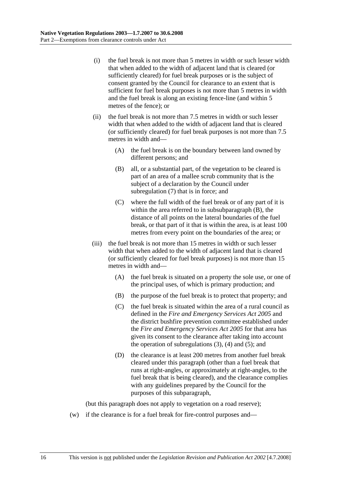- (i) the fuel break is not more than 5 metres in width or such lesser width that when added to the width of adjacent land that is cleared (or sufficiently cleared) for fuel break purposes or is the subject of consent granted by the Council for clearance to an extent that is sufficient for fuel break purposes is not more than 5 metres in width and the fuel break is along an existing fence-line (and within 5 metres of the fence); or
- (ii) the fuel break is not more than 7.5 metres in width or such lesser width that when added to the width of adjacent land that is cleared (or sufficiently cleared) for fuel break purposes is not more than 7.5 metres in width and—
	- (A) the fuel break is on the boundary between land owned by different persons; and
	- (B) all, or a substantial part, of the vegetation to be cleared is part of an area of a mallee scrub community that is the subject of a declaration by the Council under subregulation (7) that is in force; and
	- (C) where the full width of the fuel break or of any part of it is within the area referred to in subsubparagraph (B), the distance of all points on the lateral boundaries of the fuel break, or that part of it that is within the area, is at least 100 metres from every point on the boundaries of the area; or
- (iii) the fuel break is not more than 15 metres in width or such lesser width that when added to the width of adjacent land that is cleared (or sufficiently cleared for fuel break purposes) is not more than 15 metres in width and—
	- (A) the fuel break is situated on a property the sole use, or one of the principal uses, of which is primary production; and
	- (B) the purpose of the fuel break is to protect that property; and
	- (C) the fuel break is situated within the area of a rural council as defined in the *Fire and Emergency Services Act 2005* and the district bushfire prevention committee established under the *Fire and Emergency Services Act 2005* for that area has given its consent to the clearance after taking into account the operation of subregulations  $(3)$ ,  $(4)$  and  $(5)$ ; and
	- (D) the clearance is at least 200 metres from another fuel break cleared under this paragraph (other than a fuel break that runs at right-angles, or approximately at right-angles, to the fuel break that is being cleared), and the clearance complies with any guidelines prepared by the Council for the purposes of this subparagraph,

(but this paragraph does not apply to vegetation on a road reserve);

(w) if the clearance is for a fuel break for fire-control purposes and—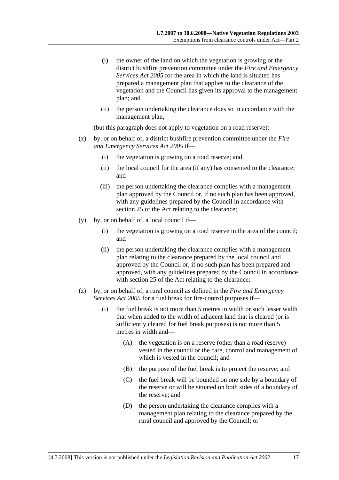- (i) the owner of the land on which the vegetation is growing or the district bushfire prevention committee under the *Fire and Emergency Services Act 2005* for the area in which the land is situated has prepared a management plan that applies to the clearance of the vegetation and the Council has given its approval to the management plan; and
- (ii) the person undertaking the clearance does so in accordance with the management plan,

(but this paragraph does not apply to vegetation on a road reserve);

- (x) by, or on behalf of, a district bushfire prevention committee under the *Fire and Emergency Services Act 2005* if—
	- (i) the vegetation is growing on a road reserve; and
	- (ii) the local council for the area (if any) has consented to the clearance; and
	- (iii) the person undertaking the clearance complies with a management plan approved by the Council or, if no such plan has been approved, with any guidelines prepared by the Council in accordance with section 25 of the Act relating to the clearance:
- (y) by, or on behalf of, a local council if—
	- (i) the vegetation is growing on a road reserve in the area of the council; and
	- (ii) the person undertaking the clearance complies with a management plan relating to the clearance prepared by the local council and approved by the Council or, if no such plan has been prepared and approved, with any guidelines prepared by the Council in accordance with section 25 of the Act relating to the clearance;
- (z) by, or on behalf of, a rural council as defined in the *Fire and Emergency Services Act 2005* for a fuel break for fire-control purposes if—
	- (i) the fuel break is not more than 5 metres in width or such lesser width that when added to the width of adjacent land that is cleared (or is sufficiently cleared for fuel break purposes) is not more than 5 metres in width and—
		- (A) the vegetation is on a reserve (other than a road reserve) vested in the council or the care, control and management of which is vested in the council; and
		- (B) the purpose of the fuel break is to protect the reserve; and
		- (C) the fuel break will be bounded on one side by a boundary of the reserve or will be situated on both sides of a boundary of the reserve; and
		- (D) the person undertaking the clearance complies with a management plan relating to the clearance prepared by the rural council and approved by the Council; or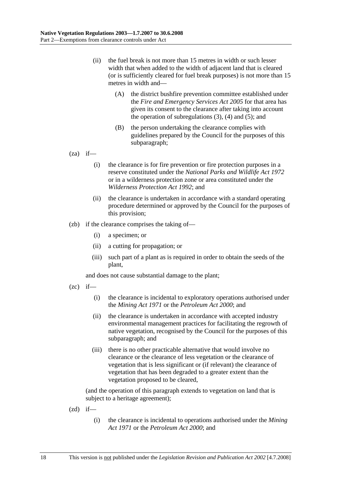- (ii) the fuel break is not more than 15 metres in width or such lesser width that when added to the width of adjacent land that is cleared (or is sufficiently cleared for fuel break purposes) is not more than 15 metres in width and—
	- (A) the district bushfire prevention committee established under the *Fire and Emergency Services Act 2005* for that area has given its consent to the clearance after taking into account the operation of subregulations  $(3)$ ,  $(4)$  and  $(5)$ ; and
	- (B) the person undertaking the clearance complies with guidelines prepared by the Council for the purposes of this subparagraph;

 $(za)$  if—

- (i) the clearance is for fire prevention or fire protection purposes in a reserve constituted under the *National Parks and Wildlife Act 1972* or in a wilderness protection zone or area constituted under the *Wilderness Protection Act 1992*; and
- (ii) the clearance is undertaken in accordance with a standard operating procedure determined or approved by the Council for the purposes of this provision;
- (zb) if the clearance comprises the taking of—
	- (i) a specimen; or
	- (ii) a cutting for propagation; or
	- (iii) such part of a plant as is required in order to obtain the seeds of the plant,

and does not cause substantial damage to the plant;

- $(zc)$  if—
	- (i) the clearance is incidental to exploratory operations authorised under the *Mining Act 1971* or the *Petroleum Act 2000*; and
	- (ii) the clearance is undertaken in accordance with accepted industry environmental management practices for facilitating the regrowth of native vegetation, recognised by the Council for the purposes of this subparagraph; and
	- (iii) there is no other practicable alternative that would involve no clearance or the clearance of less vegetation or the clearance of vegetation that is less significant or (if relevant) the clearance of vegetation that has been degraded to a greater extent than the vegetation proposed to be cleared,

- $(zd)$  if—
	- (i) the clearance is incidental to operations authorised under the *Mining Act 1971* or the *Petroleum Act 2000*; and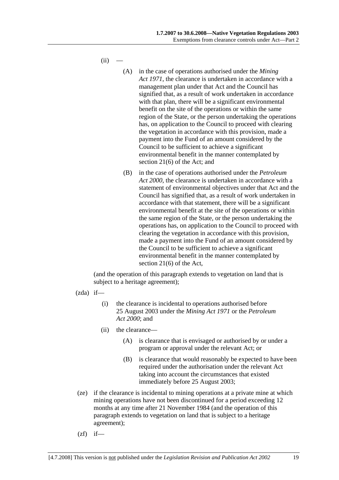$(ii)$ 

- (A) in the case of operations authorised under the *Mining Act 1971*, the clearance is undertaken in accordance with a management plan under that Act and the Council has signified that, as a result of work undertaken in accordance with that plan, there will be a significant environmental benefit on the site of the operations or within the same region of the State, or the person undertaking the operations has, on application to the Council to proceed with clearing the vegetation in accordance with this provision, made a payment into the Fund of an amount considered by the Council to be sufficient to achieve a significant environmental benefit in the manner contemplated by section 21(6) of the Act; and
- (B) in the case of operations authorised under the *Petroleum Act 2000*, the clearance is undertaken in accordance with a statement of environmental objectives under that Act and the Council has signified that, as a result of work undertaken in accordance with that statement, there will be a significant environmental benefit at the site of the operations or within the same region of the State, or the person undertaking the operations has, on application to the Council to proceed with clearing the vegetation in accordance with this provision, made a payment into the Fund of an amount considered by the Council to be sufficient to achieve a significant environmental benefit in the manner contemplated by section 21(6) of the Act,

- $(zda)$  if—
	- (i) the clearance is incidental to operations authorised before 25 August 2003 under the *Mining Act 1971* or the *Petroleum Act 2000*; and
	- (ii) the clearance—
		- (A) is clearance that is envisaged or authorised by or under a program or approval under the relevant Act; or
		- (B) is clearance that would reasonably be expected to have been required under the authorisation under the relevant Act taking into account the circumstances that existed immediately before 25 August 2003;
- (ze) if the clearance is incidental to mining operations at a private mine at which mining operations have not been discontinued for a period exceeding 12 months at any time after 21 November 1984 (and the operation of this paragraph extends to vegetation on land that is subject to a heritage agreement);
- $(zf)$  if—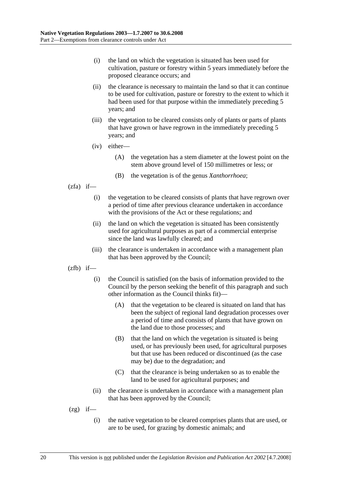- (i) the land on which the vegetation is situated has been used for cultivation, pasture or forestry within 5 years immediately before the proposed clearance occurs; and
- (ii) the clearance is necessary to maintain the land so that it can continue to be used for cultivation, pasture or forestry to the extent to which it had been used for that purpose within the immediately preceding 5 years; and
- (iii) the vegetation to be cleared consists only of plants or parts of plants that have grown or have regrown in the immediately preceding 5 years; and
- (iv) either—
	- (A) the vegetation has a stem diameter at the lowest point on the stem above ground level of 150 millimetres or less; or
	- (B) the vegetation is of the genus *Xanthorrhoea*;
- $(zfa)$  if—
	- (i) the vegetation to be cleared consists of plants that have regrown over a period of time after previous clearance undertaken in accordance with the provisions of the Act or these regulations; and
	- (ii) the land on which the vegetation is situated has been consistently used for agricultural purposes as part of a commercial enterprise since the land was lawfully cleared; and
	- (iii) the clearance is undertaken in accordance with a management plan that has been approved by the Council;
- $(zfb)$  if—
	- (i) the Council is satisfied (on the basis of information provided to the Council by the person seeking the benefit of this paragraph and such other information as the Council thinks fit)—
		- (A) that the vegetation to be cleared is situated on land that has been the subject of regional land degradation processes over a period of time and consists of plants that have grown on the land due to those processes; and
		- (B) that the land on which the vegetation is situated is being used, or has previously been used, for agricultural purposes but that use has been reduced or discontinued (as the case may be) due to the degradation; and
		- (C) that the clearance is being undertaken so as to enable the land to be used for agricultural purposes; and
	- (ii) the clearance is undertaken in accordance with a management plan that has been approved by the Council;
- $(2g)$  if—
	- (i) the native vegetation to be cleared comprises plants that are used, or are to be used, for grazing by domestic animals; and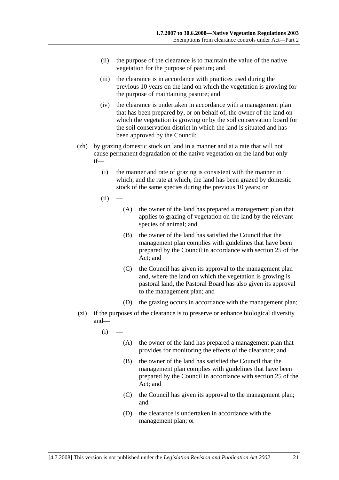- (ii) the purpose of the clearance is to maintain the value of the native vegetation for the purpose of pasture; and
- (iii) the clearance is in accordance with practices used during the previous 10 years on the land on which the vegetation is growing for the purpose of maintaining pasture; and
- (iv) the clearance is undertaken in accordance with a management plan that has been prepared by, or on behalf of, the owner of the land on which the vegetation is growing or by the soil conservation board for the soil conservation district in which the land is situated and has been approved by the Council;
- (zh) by grazing domestic stock on land in a manner and at a rate that will not cause permanent degradation of the native vegetation on the land but only if—
	- (i) the manner and rate of grazing is consistent with the manner in which, and the rate at which, the land has been grazed by domestic stock of the same species during the previous 10 years; or
	- $(ii)$
- (A) the owner of the land has prepared a management plan that applies to grazing of vegetation on the land by the relevant species of animal; and
- (B) the owner of the land has satisfied the Council that the management plan complies with guidelines that have been prepared by the Council in accordance with section 25 of the Act; and
- (C) the Council has given its approval to the management plan and, where the land on which the vegetation is growing is pastoral land, the Pastoral Board has also given its approval to the management plan; and
- (D) the grazing occurs in accordance with the management plan;
- (zi) if the purposes of the clearance is to preserve or enhance biological diversity and—
	- $(i)$ 
		- (A) the owner of the land has prepared a management plan that provides for monitoring the effects of the clearance; and
		- (B) the owner of the land has satisfied the Council that the management plan complies with guidelines that have been prepared by the Council in accordance with section 25 of the Act; and
		- (C) the Council has given its approval to the management plan; and
		- (D) the clearance is undertaken in accordance with the management plan; or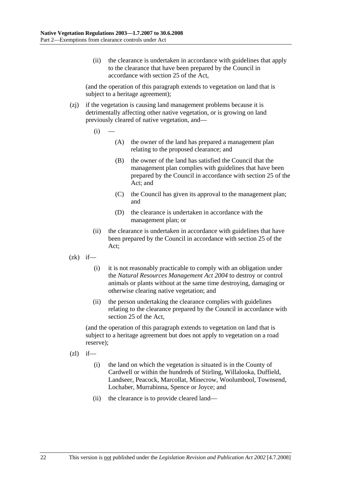(ii) the clearance is undertaken in accordance with guidelines that apply to the clearance that have been prepared by the Council in accordance with section 25 of the Act,

(and the operation of this paragraph extends to vegetation on land that is subject to a heritage agreement);

- (zj) if the vegetation is causing land management problems because it is detrimentally affecting other native vegetation, or is growing on land previously cleared of native vegetation, and—
	- $(i)$ 
		- (A) the owner of the land has prepared a management plan relating to the proposed clearance; and
		- (B) the owner of the land has satisfied the Council that the management plan complies with guidelines that have been prepared by the Council in accordance with section 25 of the Act; and
		- (C) the Council has given its approval to the management plan; and
		- (D) the clearance is undertaken in accordance with the management plan; or
	- (ii) the clearance is undertaken in accordance with guidelines that have been prepared by the Council in accordance with section 25 of the Act;
- $(zk)$  if—
	- (i) it is not reasonably practicable to comply with an obligation under the *Natural Resources Management Act 2004* to destroy or control animals or plants without at the same time destroying, damaging or otherwise clearing native vegetation; and
	- (ii) the person undertaking the clearance complies with guidelines relating to the clearance prepared by the Council in accordance with section 25 of the Act,

(and the operation of this paragraph extends to vegetation on land that is subject to a heritage agreement but does not apply to vegetation on a road reserve);

- $(zl)$  if—
	- (i) the land on which the vegetation is situated is in the County of Cardwell or within the hundreds of Stirling, Willalooka, Duffield, Landseer, Peacock, Marcollat, Minecrow, Woolumbool, Townsend, Lochaber, Murrabinna, Spence or Joyce; and
	- (ii) the clearance is to provide cleared land—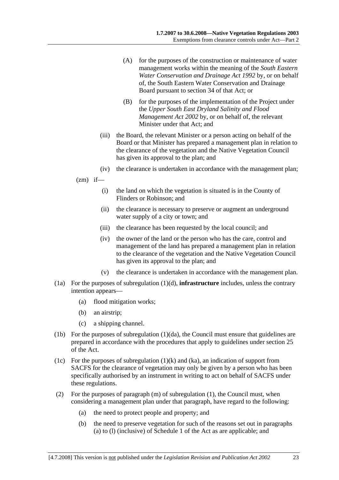- (A) for the purposes of the construction or maintenance of water management works within the meaning of the *South Eastern Water Conservation and Drainage Act 1992* by, or on behalf of, the South Eastern Water Conservation and Drainage Board pursuant to section 34 of that Act; or
- (B) for the purposes of the implementation of the Project under the *Upper South East Dryland Salinity and Flood Management Act 2002* by, or on behalf of, the relevant Minister under that Act; and
- (iii) the Board, the relevant Minister or a person acting on behalf of the Board or that Minister has prepared a management plan in relation to the clearance of the vegetation and the Native Vegetation Council has given its approval to the plan; and
- (iv) the clearance is undertaken in accordance with the management plan;
- $(zm)$  if—
	- (i) the land on which the vegetation is situated is in the County of Flinders or Robinson; and
	- (ii) the clearance is necessary to preserve or augment an underground water supply of a city or town; and
	- (iii) the clearance has been requested by the local council; and
	- (iv) the owner of the land or the person who has the care, control and management of the land has prepared a management plan in relation to the clearance of the vegetation and the Native Vegetation Council has given its approval to the plan; and
	- (v) the clearance is undertaken in accordance with the management plan.
- (1a) For the purposes of subregulation (1)(d), **infrastructure** includes, unless the contrary intention appears—
	- (a) flood mitigation works;
	- (b) an airstrip;
	- (c) a shipping channel.
- (1b) For the purposes of subregulation (1)(da), the Council must ensure that guidelines are prepared in accordance with the procedures that apply to guidelines under section 25 of the Act.
- (1c) For the purposes of subregulation  $(1)(k)$  and  $(ka)$ , an indication of support from SACFS for the clearance of vegetation may only be given by a person who has been specifically authorised by an instrument in writing to act on behalf of SACFS under these regulations.
- (2) For the purposes of paragraph (m) of subregulation (1), the Council must, when considering a management plan under that paragraph, have regard to the following:
	- (a) the need to protect people and property; and
	- (b) the need to preserve vegetation for such of the reasons set out in paragraphs (a) to (l) (inclusive) of Schedule 1 of the Act as are applicable; and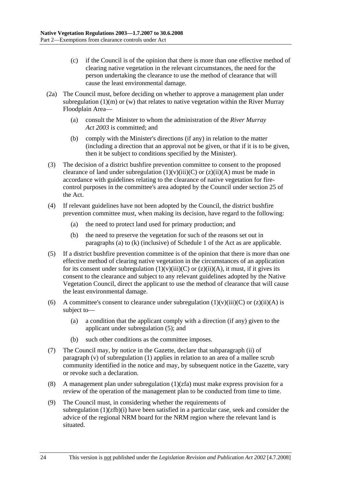- (c) if the Council is of the opinion that there is more than one effective method of clearing native vegetation in the relevant circumstances, the need for the person undertaking the clearance to use the method of clearance that will cause the least environmental damage.
- (2a) The Council must, before deciding on whether to approve a management plan under subregulation  $(1)(m)$  or  $(w)$  that relates to native vegetation within the River Murray Floodplain Area—
	- (a) consult the Minister to whom the administration of the *River Murray Act 2003* is committed; and
	- (b) comply with the Minister's directions (if any) in relation to the matter (including a direction that an approval not be given, or that if it is to be given, then it be subject to conditions specified by the Minister).
- (3) The decision of a district bushfire prevention committee to consent to the proposed clearance of land under subregulation  $(1)(v)(iii)(C)$  or  $(z)(ii)(A)$  must be made in accordance with guidelines relating to the clearance of native vegetation for firecontrol purposes in the committee's area adopted by the Council under section 25 of the Act.
- (4) If relevant guidelines have not been adopted by the Council, the district bushfire prevention committee must, when making its decision, have regard to the following:
	- (a) the need to protect land used for primary production; and
	- (b) the need to preserve the vegetation for such of the reasons set out in paragraphs (a) to (k) (inclusive) of Schedule 1 of the Act as are applicable.
- (5) If a district bushfire prevention committee is of the opinion that there is more than one effective method of clearing native vegetation in the circumstances of an application for its consent under subregulation  $(1)(v)(iii)(C)$  or  $(z)(ii)(A)$ , it must, if it gives its consent to the clearance and subject to any relevant guidelines adopted by the Native Vegetation Council, direct the applicant to use the method of clearance that will cause the least environmental damage.
- (6) A committee's consent to clearance under subregulation  $(1)(v)(iii)(C)$  or  $(z)(ii)(A)$  is subject to—
	- (a) a condition that the applicant comply with a direction (if any) given to the applicant under subregulation (5); and
	- (b) such other conditions as the committee imposes.
- (7) The Council may, by notice in the Gazette, declare that subparagraph (ii) of paragraph (v) of subregulation (1) applies in relation to an area of a mallee scrub community identified in the notice and may, by subsequent notice in the Gazette, vary or revoke such a declaration.
- (8) A management plan under subregulation  $(1)(zfa)$  must make express provision for a review of the operation of the management plan to be conducted from time to time.
- (9) The Council must, in considering whether the requirements of subregulation (1)(zfb)(i) have been satisfied in a particular case, seek and consider the advice of the regional NRM board for the NRM region where the relevant land is situated.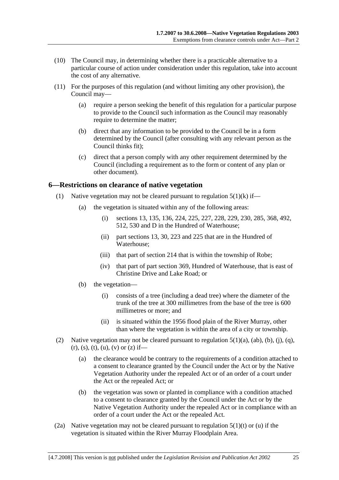- (10) The Council may, in determining whether there is a practicable alternative to a particular course of action under consideration under this regulation, take into account the cost of any alternative.
- (11) For the purposes of this regulation (and without limiting any other provision), the Council may—
	- (a) require a person seeking the benefit of this regulation for a particular purpose to provide to the Council such information as the Council may reasonably require to determine the matter;
	- (b) direct that any information to be provided to the Council be in a form determined by the Council (after consulting with any relevant person as the Council thinks fit);
	- (c) direct that a person comply with any other requirement determined by the Council (including a requirement as to the form or content of any plan or other document).

### **6—Restrictions on clearance of native vegetation**

- (1) Native vegetation may not be cleared pursuant to regulation  $5(1)(k)$  if—
	- (a) the vegetation is situated within any of the following areas:
		- (i) sections 13, 135, 136, 224, 225, 227, 228, 229, 230, 285, 368, 492, 512, 530 and D in the Hundred of Waterhouse;
		- (ii) part sections 13, 30, 223 and 225 that are in the Hundred of Waterhouse;
		- (iii) that part of section 214 that is within the township of Robe;
		- (iv) that part of part section 369, Hundred of Waterhouse, that is east of Christine Drive and Lake Road; or
	- (b) the vegetation—
		- (i) consists of a tree (including a dead tree) where the diameter of the trunk of the tree at 300 millimetres from the base of the tree is 600 millimetres or more; and
		- (ii) is situated within the 1956 flood plain of the River Murray, other than where the vegetation is within the area of a city or township.
- (2) Native vegetation may not be cleared pursuant to regulation  $5(1)(a)$ ,  $(ab)$ ,  $(b)$ ,  $(i)$ ,  $(q)$ ,  $(r)$ , (s), (t), (u), (v) or (z) if—
	- (a) the clearance would be contrary to the requirements of a condition attached to a consent to clearance granted by the Council under the Act or by the Native Vegetation Authority under the repealed Act or of an order of a court under the Act or the repealed Act; or
	- (b) the vegetation was sown or planted in compliance with a condition attached to a consent to clearance granted by the Council under the Act or by the Native Vegetation Authority under the repealed Act or in compliance with an order of a court under the Act or the repealed Act.
- (2a) Native vegetation may not be cleared pursuant to regulation  $5(1)(t)$  or (u) if the vegetation is situated within the River Murray Floodplain Area.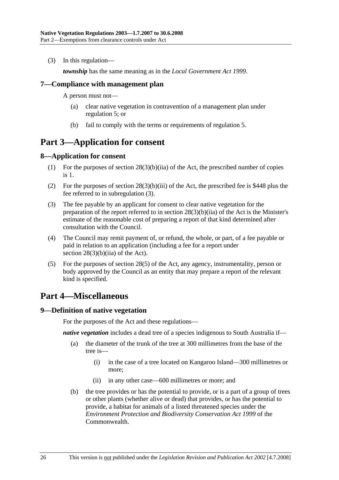(3) In this regulation—

*township* has the same meaning as in the *Local Government Act 1999*.

### **7—Compliance with management plan**

A person must not—

- (a) clear native vegetation in contravention of a management plan under regulation 5; or
- (b) fail to comply with the terms or requirements of regulation 5.

## **Part 3—Application for consent**

### **8—Application for consent**

- (1) For the purposes of section 28(3)(b)(iia) of the Act, the prescribed number of copies is 1.
- (2) For the purposes of section 28(3)(b)(iii) of the Act, the prescribed fee is \$448 plus the fee referred to in subregulation (3).
- (3) The fee payable by an applicant for consent to clear native vegetation for the preparation of the report referred to in section 28(3)(b)(iia) of the Act is the Minister's estimate of the reasonable cost of preparing a report of that kind determined after consultation with the Council.
- (4) The Council may remit payment of, or refund, the whole, or part, of a fee payable or paid in relation to an application (including a fee for a report under section 28(3)(b)(iia) of the Act).
- (5) For the purposes of section 28(5) of the Act, any agency, instrumentality, person or body approved by the Council as an entity that may prepare a report of the relevant kind is specified.

# **Part 4—Miscellaneous**

#### **9—Definition of native vegetation**

For the purposes of the Act and these regulations—

*native vegetation* includes a dead tree of a species indigenous to South Australia if—

- (a) the diameter of the trunk of the tree at 300 millimetres from the base of the tree is—
	- (i) in the case of a tree located on Kangaroo Island—300 millimetres or more;
	- (ii) in any other case—600 millimetres or more; and
- (b) the tree provides or has the potential to provide, or is a part of a group of trees or other plants (whether alive or dead) that provides, or has the potential to provide, a habitat for animals of a listed threatened species under the *Environment Protection and Biodiversity Conservation Act 1999* of the **Commonwealth**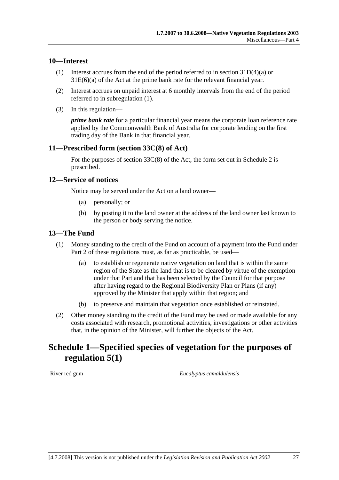### **10—Interest**

- (1) Interest accrues from the end of the period referred to in section 31D(4)(a) or 31E(6)(a) of the Act at the prime bank rate for the relevant financial year.
- (2) Interest accrues on unpaid interest at 6 monthly intervals from the end of the period referred to in subregulation (1).
- (3) In this regulation—

*prime bank rate* for a particular financial year means the corporate loan reference rate applied by the Commonwealth Bank of Australia for corporate lending on the first trading day of the Bank in that financial year.

### **11—Prescribed form (section 33C(8) of Act)**

For the purposes of section  $33C(8)$  of the Act, the form set out in Schedule 2 is prescribed.

#### **12—Service of notices**

Notice may be served under the Act on a land owner—

- (a) personally; or
- (b) by posting it to the land owner at the address of the land owner last known to the person or body serving the notice.

### **13—The Fund**

- (1) Money standing to the credit of the Fund on account of a payment into the Fund under Part 2 of these regulations must, as far as practicable, be used—
	- (a) to establish or regenerate native vegetation on land that is within the same region of the State as the land that is to be cleared by virtue of the exemption under that Part and that has been selected by the Council for that purpose after having regard to the Regional Biodiversity Plan or Plans (if any) approved by the Minister that apply within that region; and
	- (b) to preserve and maintain that vegetation once established or reinstated.
- (2) Other money standing to the credit of the Fund may be used or made available for any costs associated with research, promotional activities, investigations or other activities that, in the opinion of the Minister, will further the objects of the Act.

## **Schedule 1—Specified species of vegetation for the purposes of regulation 5(1)**

River red gum *Eucalyptus camaldulensis*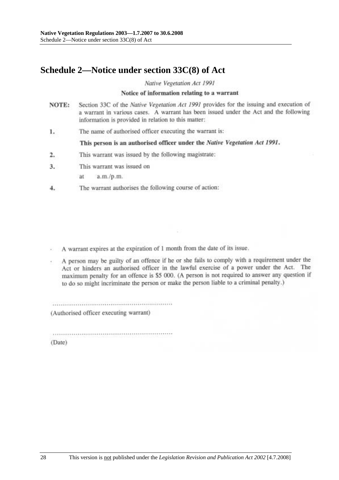# **Schedule 2—Notice under section 33C(8) of Act**

Native Vegetation Act 1991

#### Notice of information relating to a warrant

- Section 33C of the Native Vegetation Act 1991 provides for the issuing and execution of NOTE: a warrant in various cases. A warrant has been issued under the Act and the following information is provided in relation to this matter:
- The name of authorised officer executing the warrant is: 1.

This person is an authorised officer under the Native Vegetation Act 1991.

- This warrant was issued by the following magistrate:  $2.$
- This warrant was issued on  $3.$ 
	- ät a.m./p.m.
- The warrant authorises the following course of action: 4.

A warrant expires at the expiration of 1 month from the date of its issue.

A person may be guilty of an offence if he or she fails to comply with a requirement under the Act or hinders an authorised officer in the lawful exercise of a power under the Act. The maximum penalty for an offence is \$5 000. (A person is not required to answer any question if to do so might incriminate the person or make the person liable to a criminal penalty.)

(Authorised officer executing warrant)

(Date)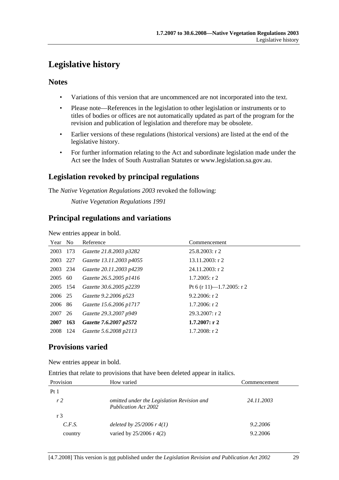# **Legislative history**

### **Notes**

- Variations of this version that are uncommenced are not incorporated into the text.
- Please note—References in the legislation to other legislation or instruments or to titles of bodies or offices are not automatically updated as part of the program for the revision and publication of legislation and therefore may be obsolete.
- Earlier versions of these regulations (historical versions) are listed at the end of the legislative history.
- For further information relating to the Act and subordinate legislation made under the Act see the Index of South Australian Statutes or www.legislation.sa.gov.au.

## **Legislation revoked by principal regulations**

The *Native Vegetation Regulations 2003* revoked the following:

*Native Vegetation Regulations 1991*

### **Principal regulations and variations**

New entries appear in bold.

| Year No  |      | Reference                | Commencement              |
|----------|------|--------------------------|---------------------------|
| 2003     | 173  | Gazette 21.8.2003 p3282  | $25.8.2003$ : r 2         |
| 2003 227 |      | Gazette 13.11.2003 p4055 | $13.11.2003$ : r 2        |
| 2003 234 |      | Gazette 20.11.2003 p4239 | $24.11.2003$ : r 2        |
| 2005     | 60   | Gazette 26.5.2005 p1416  | $1.7.2005$ : r 2          |
| 2005 154 |      | Gazette 30.6.2005 p2239  | Pt 6 (r 11)-1.7.2005: r 2 |
| 2006 25  |      | Gazette 9.2.2006 p523    | 9.2.2006: r2              |
| 2006 86  |      | Gazette 15.6.2006 p1717  | $1.7.2006$ : r 2          |
| 2007 26  |      | Gazette 29.3.2007 p949   | 29.3.2007: r2             |
| 2007     | 163  | Gazette 7.6.2007 p2572   | 1.7.2007: r2              |
| 2008     | -124 | Gazette 5.6.2008 p2113   | $1.7.2008$ : r 2          |

## **Provisions varied**

New entries appear in bold.

Entries that relate to provisions that have been deleted appear in italics.

| Provision       | How varied                                                                | Commencement |
|-----------------|---------------------------------------------------------------------------|--------------|
| Pt <sub>1</sub> |                                                                           |              |
| r <sub>2</sub>  | omitted under the Legislation Revision and<br><b>Publication Act 2002</b> | 24.11.2003   |
| r 3             |                                                                           |              |
| C.F.S.          | deleted by $25/2006$ r $4(1)$                                             | 9.2.2006     |
| country         | varied by $25/2006$ r 4(2)                                                | 9.2.2006     |